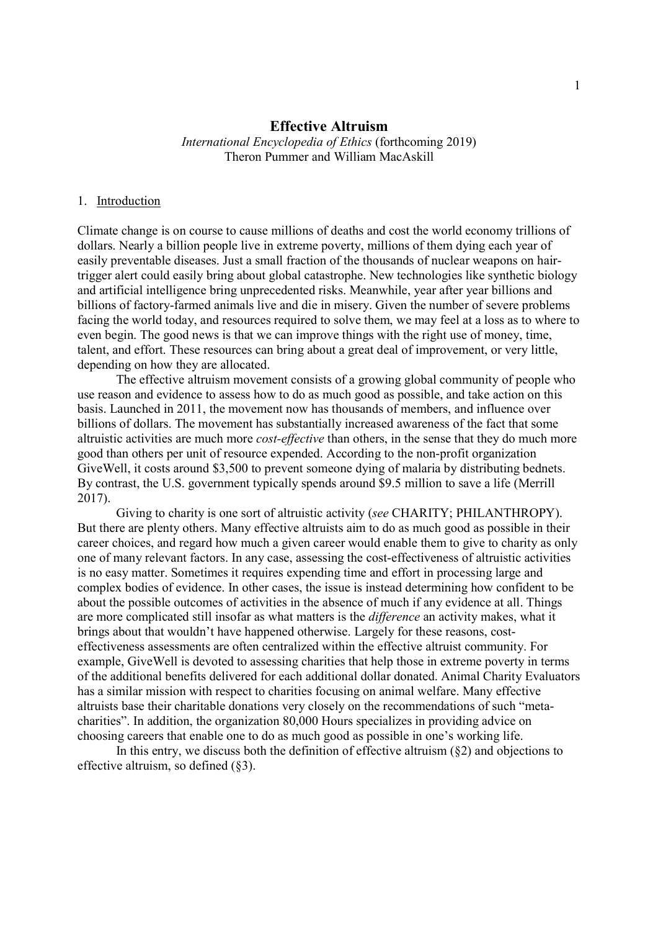## Effective Altruism

International Encyclopedia of Ethics (forthcoming 2019) Theron Pummer and William MacAskill

### 1. Introduction

Climate change is on course to cause millions of deaths and cost the world economy trillions of dollars. Nearly a billion people live in extreme poverty, millions of them dying each year of easily preventable diseases. Just a small fraction of the thousands of nuclear weapons on hairtrigger alert could easily bring about global catastrophe. New technologies like synthetic biology and artificial intelligence bring unprecedented risks. Meanwhile, year after year billions and billions of factory-farmed animals live and die in misery. Given the number of severe problems facing the world today, and resources required to solve them, we may feel at a loss as to where to even begin. The good news is that we can improve things with the right use of money, time, talent, and effort. These resources can bring about a great deal of improvement, or very little, depending on how they are allocated.

The effective altruism movement consists of a growing global community of people who use reason and evidence to assess how to do as much good as possible, and take action on this basis. Launched in 2011, the movement now has thousands of members, and influence over billions of dollars. The movement has substantially increased awareness of the fact that some altruistic activities are much more cost-effective than others, in the sense that they do much more good than others per unit of resource expended. According to the non-profit organization GiveWell, it costs around \$3,500 to prevent someone dying of malaria by distributing bednets. By contrast, the U.S. government typically spends around \$9.5 million to save a life (Merrill 2017).

Giving to charity is one sort of altruistic activity (see CHARITY; PHILANTHROPY). But there are plenty others. Many effective altruists aim to do as much good as possible in their career choices, and regard how much a given career would enable them to give to charity as only one of many relevant factors. In any case, assessing the cost-effectiveness of altruistic activities is no easy matter. Sometimes it requires expending time and effort in processing large and complex bodies of evidence. In other cases, the issue is instead determining how confident to be about the possible outcomes of activities in the absence of much if any evidence at all. Things are more complicated still insofar as what matters is the difference an activity makes, what it brings about that wouldn't have happened otherwise. Largely for these reasons, costeffectiveness assessments are often centralized within the effective altruist community. For example, GiveWell is devoted to assessing charities that help those in extreme poverty in terms of the additional benefits delivered for each additional dollar donated. Animal Charity Evaluators has a similar mission with respect to charities focusing on animal welfare. Many effective altruists base their charitable donations very closely on the recommendations of such "metacharities". In addition, the organization 80,000 Hours specializes in providing advice on choosing careers that enable one to do as much good as possible in one's working life.

In this entry, we discuss both the definition of effective altruism  $(\S 2)$  and objections to effective altruism, so defined (§3).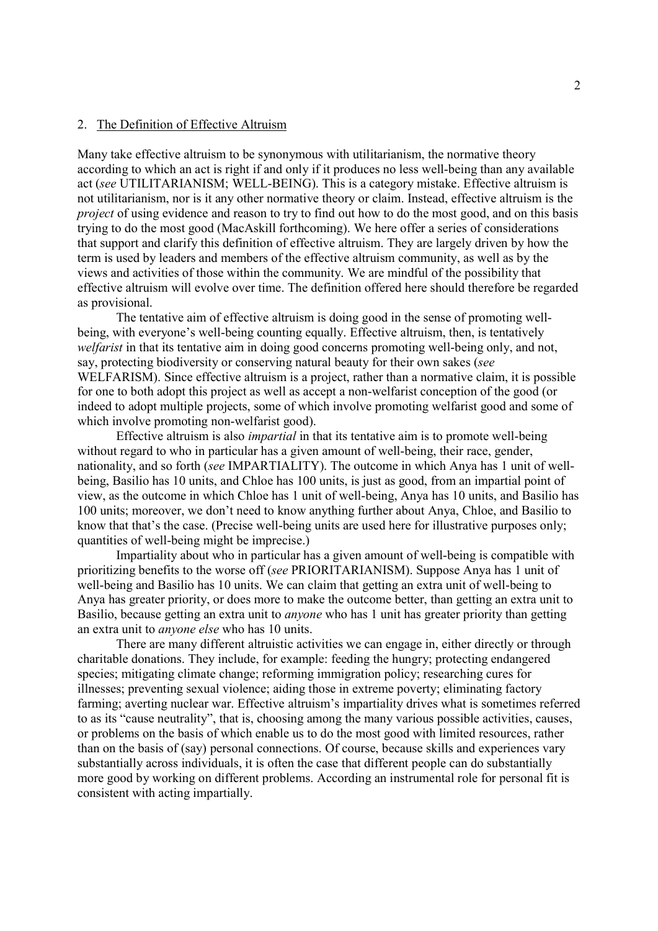# 2. The Definition of Effective Altruism

Many take effective altruism to be synonymous with utilitarianism, the normative theory according to which an act is right if and only if it produces no less well-being than any available act (see UTILITARIANISM; WELL-BEING). This is a category mistake. Effective altruism is not utilitarianism, nor is it any other normative theory or claim. Instead, effective altruism is the project of using evidence and reason to try to find out how to do the most good, and on this basis trying to do the most good (MacAskill forthcoming). We here offer a series of considerations that support and clarify this definition of effective altruism. They are largely driven by how the term is used by leaders and members of the effective altruism community, as well as by the views and activities of those within the community. We are mindful of the possibility that effective altruism will evolve over time. The definition offered here should therefore be regarded as provisional.

The tentative aim of effective altruism is doing good in the sense of promoting wellbeing, with everyone's well-being counting equally. Effective altruism, then, is tentatively welfarist in that its tentative aim in doing good concerns promoting well-being only, and not, say, protecting biodiversity or conserving natural beauty for their own sakes (see WELFARISM). Since effective altruism is a project, rather than a normative claim, it is possible for one to both adopt this project as well as accept a non-welfarist conception of the good (or indeed to adopt multiple projects, some of which involve promoting welfarist good and some of which involve promoting non-welfarist good).

Effective altruism is also impartial in that its tentative aim is to promote well-being without regard to who in particular has a given amount of well-being, their race, gender, nationality, and so forth (see IMPARTIALITY). The outcome in which Anya has 1 unit of wellbeing, Basilio has 10 units, and Chloe has 100 units, is just as good, from an impartial point of view, as the outcome in which Chloe has 1 unit of well-being, Anya has 10 units, and Basilio has 100 units; moreover, we don't need to know anything further about Anya, Chloe, and Basilio to know that that's the case. (Precise well-being units are used here for illustrative purposes only; quantities of well-being might be imprecise.)

Impartiality about who in particular has a given amount of well-being is compatible with prioritizing benefits to the worse off (see PRIORITARIANISM). Suppose Anya has 1 unit of well-being and Basilio has 10 units. We can claim that getting an extra unit of well-being to Anya has greater priority, or does more to make the outcome better, than getting an extra unit to Basilio, because getting an extra unit to anyone who has 1 unit has greater priority than getting an extra unit to anyone else who has 10 units.

There are many different altruistic activities we can engage in, either directly or through charitable donations. They include, for example: feeding the hungry; protecting endangered species; mitigating climate change; reforming immigration policy; researching cures for illnesses; preventing sexual violence; aiding those in extreme poverty; eliminating factory farming; averting nuclear war. Effective altruism's impartiality drives what is sometimes referred to as its "cause neutrality", that is, choosing among the many various possible activities, causes, or problems on the basis of which enable us to do the most good with limited resources, rather than on the basis of (say) personal connections. Of course, because skills and experiences vary substantially across individuals, it is often the case that different people can do substantially more good by working on different problems. According an instrumental role for personal fit is consistent with acting impartially.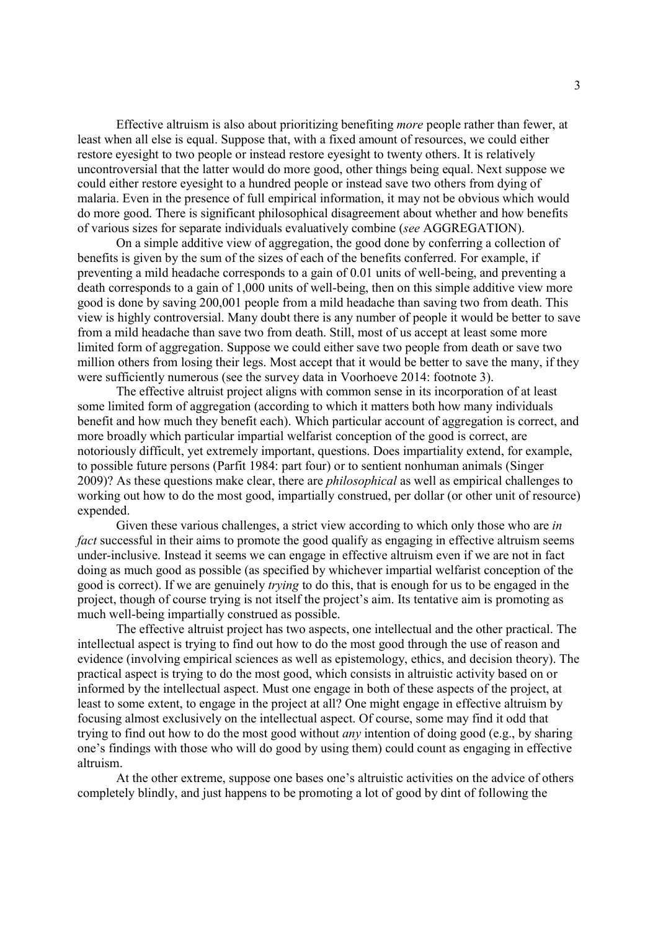Effective altruism is also about prioritizing benefiting more people rather than fewer, at least when all else is equal. Suppose that, with a fixed amount of resources, we could either restore eyesight to two people or instead restore eyesight to twenty others. It is relatively uncontroversial that the latter would do more good, other things being equal. Next suppose we could either restore eyesight to a hundred people or instead save two others from dying of malaria. Even in the presence of full empirical information, it may not be obvious which would do more good. There is significant philosophical disagreement about whether and how benefits of various sizes for separate individuals evaluatively combine (see AGGREGATION).

On a simple additive view of aggregation, the good done by conferring a collection of benefits is given by the sum of the sizes of each of the benefits conferred. For example, if preventing a mild headache corresponds to a gain of 0.01 units of well-being, and preventing a death corresponds to a gain of 1,000 units of well-being, then on this simple additive view more good is done by saving 200,001 people from a mild headache than saving two from death. This view is highly controversial. Many doubt there is any number of people it would be better to save from a mild headache than save two from death. Still, most of us accept at least some more limited form of aggregation. Suppose we could either save two people from death or save two million others from losing their legs. Most accept that it would be better to save the many, if they were sufficiently numerous (see the survey data in Voorhoeve 2014: footnote 3).

The effective altruist project aligns with common sense in its incorporation of at least some limited form of aggregation (according to which it matters both how many individuals benefit and how much they benefit each). Which particular account of aggregation is correct, and more broadly which particular impartial welfarist conception of the good is correct, are notoriously difficult, yet extremely important, questions. Does impartiality extend, for example, to possible future persons (Parfit 1984: part four) or to sentient nonhuman animals (Singer  $2009$ ? As these questions make clear, there are *philosophical* as well as empirical challenges to working out how to do the most good, impartially construed, per dollar (or other unit of resource) expended.

Given these various challenges, a strict view according to which only those who are in fact successful in their aims to promote the good qualify as engaging in effective altruism seems under-inclusive. Instead it seems we can engage in effective altruism even if we are not in fact doing as much good as possible (as specified by whichever impartial welfarist conception of the good is correct). If we are genuinely trying to do this, that is enough for us to be engaged in the project, though of course trying is not itself the project's aim. Its tentative aim is promoting as much well-being impartially construed as possible.

The effective altruist project has two aspects, one intellectual and the other practical. The intellectual aspect is trying to find out how to do the most good through the use of reason and evidence (involving empirical sciences as well as epistemology, ethics, and decision theory). The practical aspect is trying to do the most good, which consists in altruistic activity based on or informed by the intellectual aspect. Must one engage in both of these aspects of the project, at least to some extent, to engage in the project at all? One might engage in effective altruism by focusing almost exclusively on the intellectual aspect. Of course, some may find it odd that trying to find out how to do the most good without *any* intention of doing good (e.g., by sharing one's findings with those who will do good by using them) could count as engaging in effective altruism.

At the other extreme, suppose one bases one's altruistic activities on the advice of others completely blindly, and just happens to be promoting a lot of good by dint of following the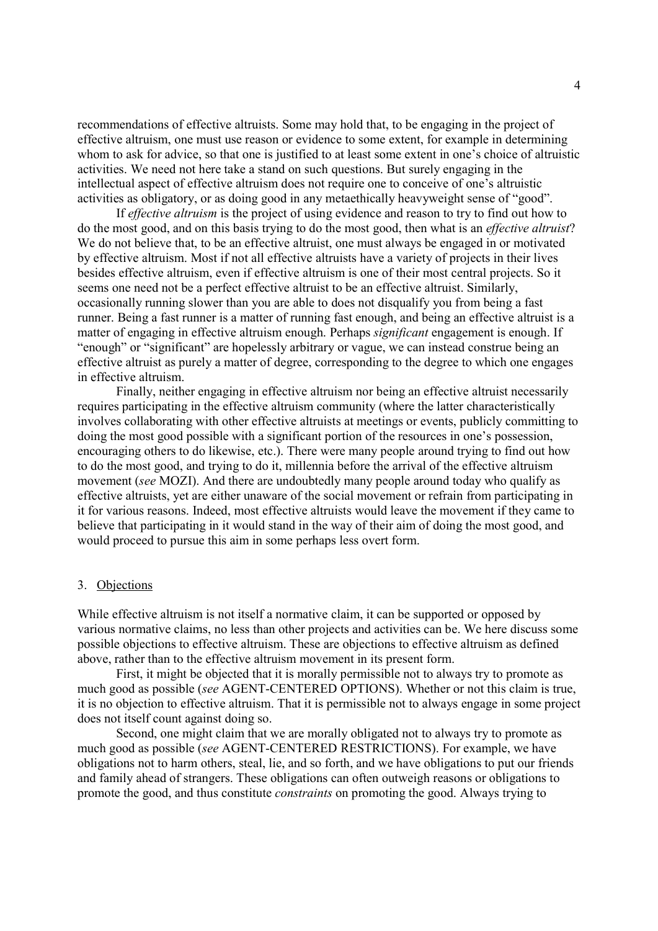recommendations of effective altruists. Some may hold that, to be engaging in the project of effective altruism, one must use reason or evidence to some extent, for example in determining whom to ask for advice, so that one is justified to at least some extent in one's choice of altruistic activities. We need not here take a stand on such questions. But surely engaging in the intellectual aspect of effective altruism does not require one to conceive of one's altruistic activities as obligatory, or as doing good in any metaethically heavyweight sense of "good".

If effective altruism is the project of using evidence and reason to try to find out how to do the most good, and on this basis trying to do the most good, then what is an effective altruist? We do not believe that, to be an effective altruist, one must always be engaged in or motivated by effective altruism. Most if not all effective altruists have a variety of projects in their lives besides effective altruism, even if effective altruism is one of their most central projects. So it seems one need not be a perfect effective altruist to be an effective altruist. Similarly, occasionally running slower than you are able to does not disqualify you from being a fast runner. Being a fast runner is a matter of running fast enough, and being an effective altruist is a matter of engaging in effective altruism enough. Perhaps significant engagement is enough. If "enough" or "significant" are hopelessly arbitrary or vague, we can instead construe being an effective altruist as purely a matter of degree, corresponding to the degree to which one engages in effective altruism.

Finally, neither engaging in effective altruism nor being an effective altruist necessarily requires participating in the effective altruism community (where the latter characteristically involves collaborating with other effective altruists at meetings or events, publicly committing to doing the most good possible with a significant portion of the resources in one's possession, encouraging others to do likewise, etc.). There were many people around trying to find out how to do the most good, and trying to do it, millennia before the arrival of the effective altruism movement (see MOZI). And there are undoubtedly many people around today who qualify as effective altruists, yet are either unaware of the social movement or refrain from participating in it for various reasons. Indeed, most effective altruists would leave the movement if they came to believe that participating in it would stand in the way of their aim of doing the most good, and would proceed to pursue this aim in some perhaps less overt form.

#### 3. Objections

While effective altruism is not itself a normative claim, it can be supported or opposed by various normative claims, no less than other projects and activities can be. We here discuss some possible objections to effective altruism. These are objections to effective altruism as defined above, rather than to the effective altruism movement in its present form.

First, it might be objected that it is morally permissible not to always try to promote as much good as possible (see AGENT-CENTERED OPTIONS). Whether or not this claim is true, it is no objection to effective altruism. That it is permissible not to always engage in some project does not itself count against doing so.

Second, one might claim that we are morally obligated not to always try to promote as much good as possible (see AGENT-CENTERED RESTRICTIONS). For example, we have obligations not to harm others, steal, lie, and so forth, and we have obligations to put our friends and family ahead of strangers. These obligations can often outweigh reasons or obligations to promote the good, and thus constitute constraints on promoting the good. Always trying to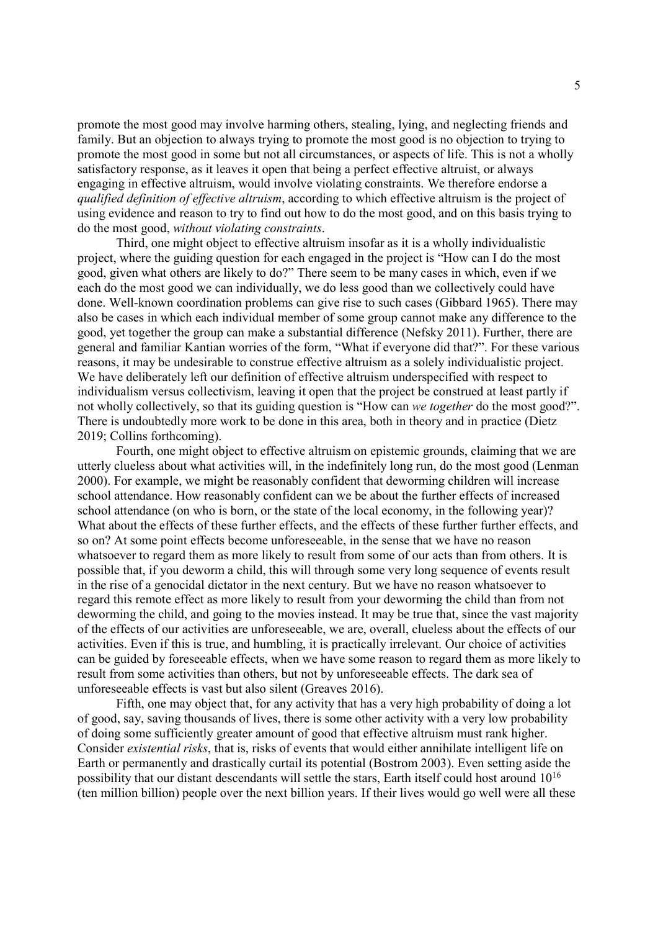promote the most good may involve harming others, stealing, lying, and neglecting friends and family. But an objection to always trying to promote the most good is no objection to trying to promote the most good in some but not all circumstances, or aspects of life. This is not a wholly satisfactory response, as it leaves it open that being a perfect effective altruist, or always engaging in effective altruism, would involve violating constraints. We therefore endorse a qualified definition of effective altruism, according to which effective altruism is the project of using evidence and reason to try to find out how to do the most good, and on this basis trying to do the most good, without violating constraints.

Third, one might object to effective altruism insofar as it is a wholly individualistic project, where the guiding question for each engaged in the project is "How can I do the most good, given what others are likely to do?" There seem to be many cases in which, even if we each do the most good we can individually, we do less good than we collectively could have done. Well-known coordination problems can give rise to such cases (Gibbard 1965). There may also be cases in which each individual member of some group cannot make any difference to the good, yet together the group can make a substantial difference (Nefsky 2011). Further, there are general and familiar Kantian worries of the form, "What if everyone did that?". For these various reasons, it may be undesirable to construe effective altruism as a solely individualistic project. We have deliberately left our definition of effective altruism underspecified with respect to individualism versus collectivism, leaving it open that the project be construed at least partly if not wholly collectively, so that its guiding question is "How can we together do the most good?". There is undoubtedly more work to be done in this area, both in theory and in practice (Dietz 2019; Collins forthcoming).

Fourth, one might object to effective altruism on epistemic grounds, claiming that we are utterly clueless about what activities will, in the indefinitely long run, do the most good (Lenman 2000). For example, we might be reasonably confident that deworming children will increase school attendance. How reasonably confident can we be about the further effects of increased school attendance (on who is born, or the state of the local economy, in the following year)? What about the effects of these further effects, and the effects of these further further effects, and so on? At some point effects become unforeseeable, in the sense that we have no reason whatsoever to regard them as more likely to result from some of our acts than from others. It is possible that, if you deworm a child, this will through some very long sequence of events result in the rise of a genocidal dictator in the next century. But we have no reason whatsoever to regard this remote effect as more likely to result from your deworming the child than from not deworming the child, and going to the movies instead. It may be true that, since the vast majority of the effects of our activities are unforeseeable, we are, overall, clueless about the effects of our activities. Even if this is true, and humbling, it is practically irrelevant. Our choice of activities can be guided by foreseeable effects, when we have some reason to regard them as more likely to result from some activities than others, but not by unforeseeable effects. The dark sea of unforeseeable effects is vast but also silent (Greaves 2016).

Fifth, one may object that, for any activity that has a very high probability of doing a lot of good, say, saving thousands of lives, there is some other activity with a very low probability of doing some sufficiently greater amount of good that effective altruism must rank higher. Consider existential risks, that is, risks of events that would either annihilate intelligent life on Earth or permanently and drastically curtail its potential (Bostrom 2003). Even setting aside the possibility that our distant descendants will settle the stars, Earth itself could host around 10<sup>16</sup> (ten million billion) people over the next billion years. If their lives would go well were all these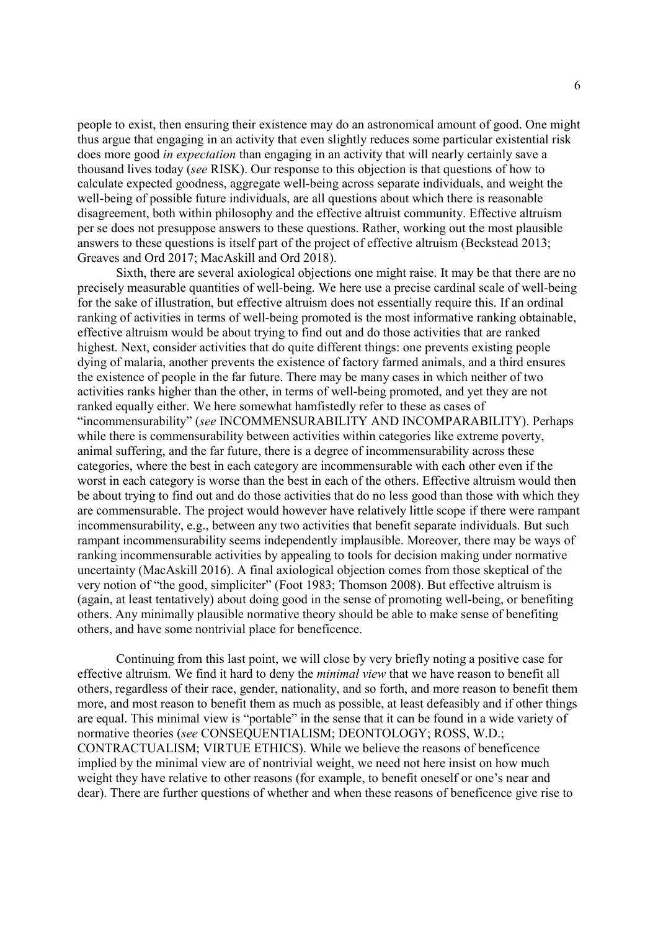people to exist, then ensuring their existence may do an astronomical amount of good. One might thus argue that engaging in an activity that even slightly reduces some particular existential risk does more good *in expectation* than engaging in an activity that will nearly certainly save a thousand lives today (see RISK). Our response to this objection is that questions of how to calculate expected goodness, aggregate well-being across separate individuals, and weight the well-being of possible future individuals, are all questions about which there is reasonable disagreement, both within philosophy and the effective altruist community. Effective altruism per se does not presuppose answers to these questions. Rather, working out the most plausible answers to these questions is itself part of the project of effective altruism (Beckstead 2013; Greaves and Ord 2017; MacAskill and Ord 2018).

Sixth, there are several axiological objections one might raise. It may be that there are no precisely measurable quantities of well-being. We here use a precise cardinal scale of well-being for the sake of illustration, but effective altruism does not essentially require this. If an ordinal ranking of activities in terms of well-being promoted is the most informative ranking obtainable, effective altruism would be about trying to find out and do those activities that are ranked highest. Next, consider activities that do quite different things: one prevents existing people dying of malaria, another prevents the existence of factory farmed animals, and a third ensures the existence of people in the far future. There may be many cases in which neither of two activities ranks higher than the other, in terms of well-being promoted, and yet they are not ranked equally either. We here somewhat hamfistedly refer to these as cases of "incommensurability" (see INCOMMENSURABILITY AND INCOMPARABILITY). Perhaps while there is commensurability between activities within categories like extreme poverty, animal suffering, and the far future, there is a degree of incommensurability across these categories, where the best in each category are incommensurable with each other even if the worst in each category is worse than the best in each of the others. Effective altruism would then be about trying to find out and do those activities that do no less good than those with which they are commensurable. The project would however have relatively little scope if there were rampant incommensurability, e.g., between any two activities that benefit separate individuals. But such rampant incommensurability seems independently implausible. Moreover, there may be ways of ranking incommensurable activities by appealing to tools for decision making under normative uncertainty (MacAskill 2016). A final axiological objection comes from those skeptical of the very notion of "the good, simpliciter" (Foot 1983; Thomson 2008). But effective altruism is (again, at least tentatively) about doing good in the sense of promoting well-being, or benefiting others. Any minimally plausible normative theory should be able to make sense of benefiting others, and have some nontrivial place for beneficence.

Continuing from this last point, we will close by very briefly noting a positive case for effective altruism. We find it hard to deny the minimal view that we have reason to benefit all others, regardless of their race, gender, nationality, and so forth, and more reason to benefit them more, and most reason to benefit them as much as possible, at least defeasibly and if other things are equal. This minimal view is "portable" in the sense that it can be found in a wide variety of normative theories (see CONSEQUENTIALISM; DEONTOLOGY; ROSS, W.D.; CONTRACTUALISM; VIRTUE ETHICS). While we believe the reasons of beneficence implied by the minimal view are of nontrivial weight, we need not here insist on how much weight they have relative to other reasons (for example, to benefit oneself or one's near and dear). There are further questions of whether and when these reasons of beneficence give rise to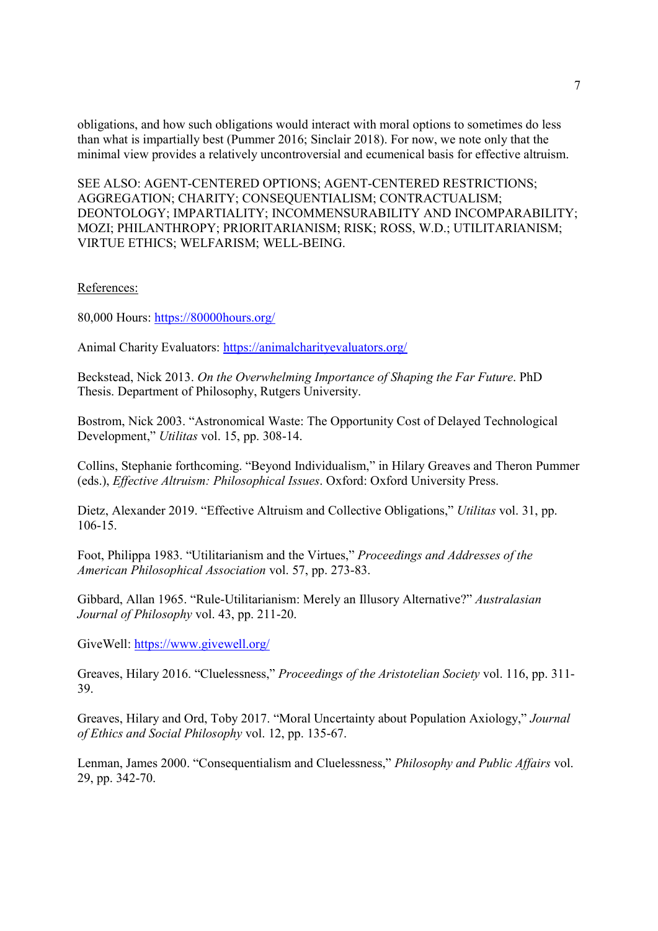obligations, and how such obligations would interact with moral options to sometimes do less than what is impartially best (Pummer 2016; Sinclair 2018). For now, we note only that the minimal view provides a relatively uncontroversial and ecumenical basis for effective altruism.

SEE ALSO: AGENT-CENTERED OPTIONS; AGENT-CENTERED RESTRICTIONS; AGGREGATION; CHARITY; CONSEQUENTIALISM; CONTRACTUALISM; DEONTOLOGY; IMPARTIALITY; INCOMMENSURABILITY AND INCOMPARABILITY; MOZI; PHILANTHROPY; PRIORITARIANISM; RISK; ROSS, W.D.; UTILITARIANISM; VIRTUE ETHICS; WELFARISM; WELL-BEING.

References:

80,000 Hours: https://80000hours.org/

Animal Charity Evaluators: https://animalcharityevaluators.org/

Beckstead, Nick 2013. On the Overwhelming Importance of Shaping the Far Future. PhD Thesis. Department of Philosophy, Rutgers University.

Bostrom, Nick 2003. "Astronomical Waste: The Opportunity Cost of Delayed Technological Development," Utilitas vol. 15, pp. 308-14.

Collins, Stephanie forthcoming. "Beyond Individualism," in Hilary Greaves and Theron Pummer (eds.), Effective Altruism: Philosophical Issues. Oxford: Oxford University Press.

Dietz, Alexander 2019. "Effective Altruism and Collective Obligations," Utilitas vol. 31, pp. 106-15.

Foot, Philippa 1983. "Utilitarianism and the Virtues," Proceedings and Addresses of the American Philosophical Association vol. 57, pp. 273-83.

Gibbard, Allan 1965. "Rule-Utilitarianism: Merely an Illusory Alternative?" Australasian Journal of Philosophy vol. 43, pp. 211-20.

GiveWell: https://www.givewell.org/

Greaves, Hilary 2016. "Cluelessness," Proceedings of the Aristotelian Society vol. 116, pp. 311- 39.

Greaves, Hilary and Ord, Toby 2017. "Moral Uncertainty about Population Axiology," Journal of Ethics and Social Philosophy vol. 12, pp. 135-67.

Lenman, James 2000. "Consequentialism and Cluelessness," Philosophy and Public Affairs vol. 29, pp. 342-70.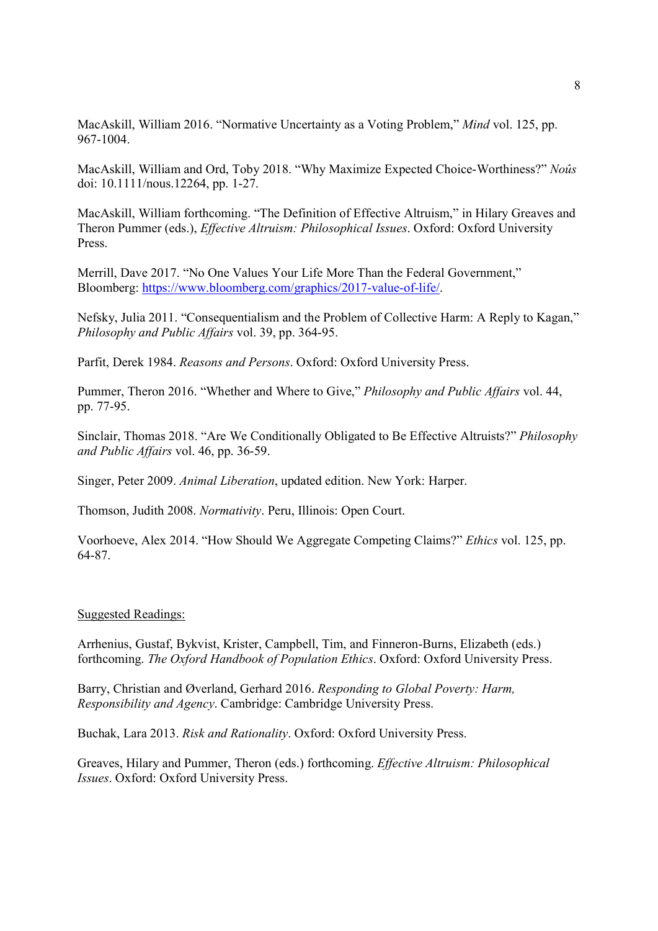MacAskill, William 2016. "Normative Uncertainty as a Voting Problem," Mind vol. 125, pp. 967-1004.

MacAskill, William and Ord, Toby 2018. "Why Maximize Expected Choice-Worthiness?" Noûs doi: 10.1111/nous.12264, pp. 1-27.

MacAskill, William forthcoming. "The Definition of Effective Altruism," in Hilary Greaves and Theron Pummer (eds.), Effective Altruism: Philosophical Issues. Oxford: Oxford University Press.

Merrill, Dave 2017. "No One Values Your Life More Than the Federal Government," Bloomberg: https://www.bloomberg.com/graphics/2017-value-of-life/.

Nefsky, Julia 2011. "Consequentialism and the Problem of Collective Harm: A Reply to Kagan," Philosophy and Public Affairs vol. 39, pp. 364-95.

Parfit, Derek 1984. Reasons and Persons. Oxford: Oxford University Press.

Pummer, Theron 2016. "Whether and Where to Give," Philosophy and Public Affairs vol. 44, pp. 77-95.

Sinclair, Thomas 2018. "Are We Conditionally Obligated to Be Effective Altruists?" Philosophy and Public Affairs vol. 46, pp. 36-59.

Singer, Peter 2009. Animal Liberation, updated edition. New York: Harper.

Thomson, Judith 2008. Normativity. Peru, Illinois: Open Court.

Voorhoeve, Alex 2014. "How Should We Aggregate Competing Claims?" Ethics vol. 125, pp. 64-87.

#### Suggested Readings:

Arrhenius, Gustaf, Bykvist, Krister, Campbell, Tim, and Finneron-Burns, Elizabeth (eds.) forthcoming. The Oxford Handbook of Population Ethics. Oxford: Oxford University Press.

Barry, Christian and Øverland, Gerhard 2016. Responding to Global Poverty: Harm, Responsibility and Agency. Cambridge: Cambridge University Press.

Buchak, Lara 2013. Risk and Rationality. Oxford: Oxford University Press.

Greaves, Hilary and Pummer, Theron (eds.) forthcoming. Effective Altruism: Philosophical Issues. Oxford: Oxford University Press.